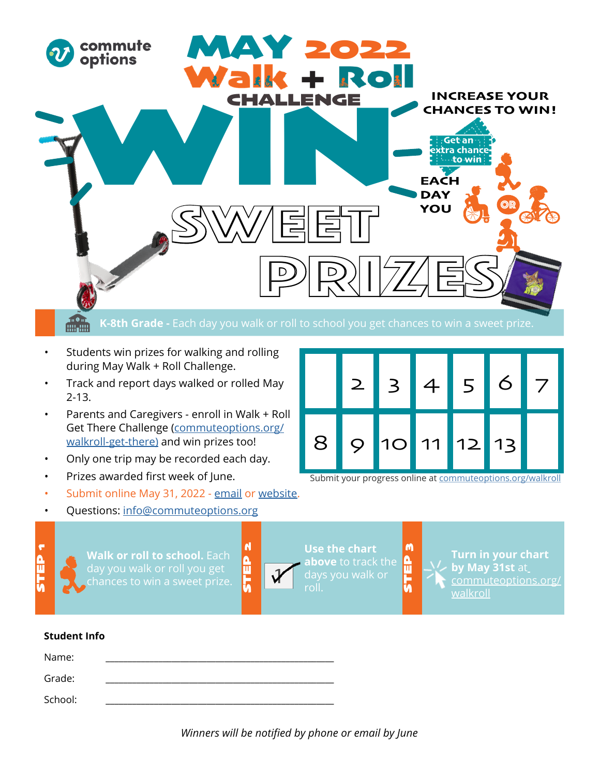

- Students win prizes for walking and rolling during May Walk + Roll Challenge.
- Track and report days walked or rolled May 2-13.
- Parents and Caregivers enroll in Walk + Roll Get There Challenge (commuteoptions.org/ walkroll-get-there) and win prizes too!
- Only one trip may be recorded each day.
- Prizes awarded first week of June.
- Submit online May 31, 2022 [email](http://info@commuteoptions.org) or [website.](https://www.commuteoptions.org/walkroll/)
- Questions: [info@commuteoptions.org](mailto:info%40commuteoptions.org?subject=)



Submit your progress online at c[ommuteoptions.org/](http:// www.commuteoptions.org/Walk-N-Roll)walkroll

STEP 3

n<br>E

M

**Walk or roll to school.** Each day you walk or roll you get

roll.

STEP 2

 $\frac{\mathbf{a}}{\mathbf{u}}$ 

 $\blacksquare$ 

**Use the chart above** to track the

**Turn in your chart by May 31st** at [commuteoptions.org/](http:// www.commuteoptions.org/walkroll) [walkroll](http:// www.commuteoptions.org/walkroll)

## **Student Info**

| Name:   |  |
|---------|--|
| Grade:  |  |
| School: |  |

*Winners will be notified by phone or email by June*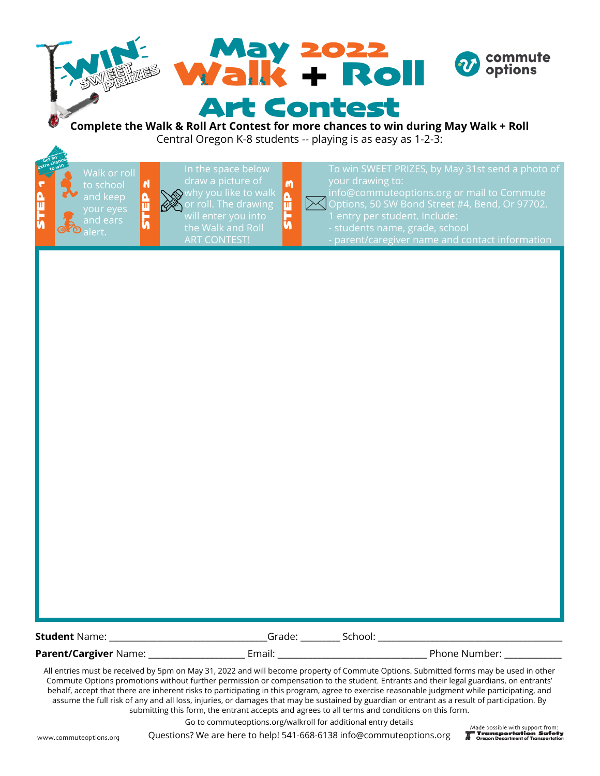| <b>May 2022</b><br><b>Walk + Roll</b>                                                                     | $\boldsymbol{v}$ commute<br>options |
|-----------------------------------------------------------------------------------------------------------|-------------------------------------|
| <b>Art Contest</b><br>Complete the Walk & Rell Art Centest for more shapees to win during May Walk + Rell |                                     |

## **Complete the Walk & Roll Art Contest for more chances to win during May Walk + Roll**  Central Oregon K-8 students -- playing is as easy as 1-2-3:

Walk or roll to school and keep our eyes lert. extra chance **xtra** to win

STEP 1

Get an

ART CONTEST!

STEP 2

 $\frac{2}{11}$ 

 $\overline{\mathsf{N}}$ 

 $\searrow$ 

STEP 3

요<br>5

M

Options, 50 SW Bond Street #4, Bend, Or 97702.

- 
- 

All entries must be received by 5pm on May 31, 2022 and will become property of Commute Options. Submitted forms may be used in other Commute Options promotions without further permission or compensation to the student. Entrants and their legal guardians, on entrants' behalf, accept that there are inherent risks to participating in this program, agree to exercise reasonable judgment while participating, and assume the full risk of any and all loss, injuries, or damages that may be sustained by guardian or entrant as a result of participation. By submitting this form, the entrant accepts and agrees to all terms and conditions on this form.

Go to commuteoptions.org/walkroll for additional entry details

Questions? We are here to help! 541-668-6138 info@commuteoptions.org

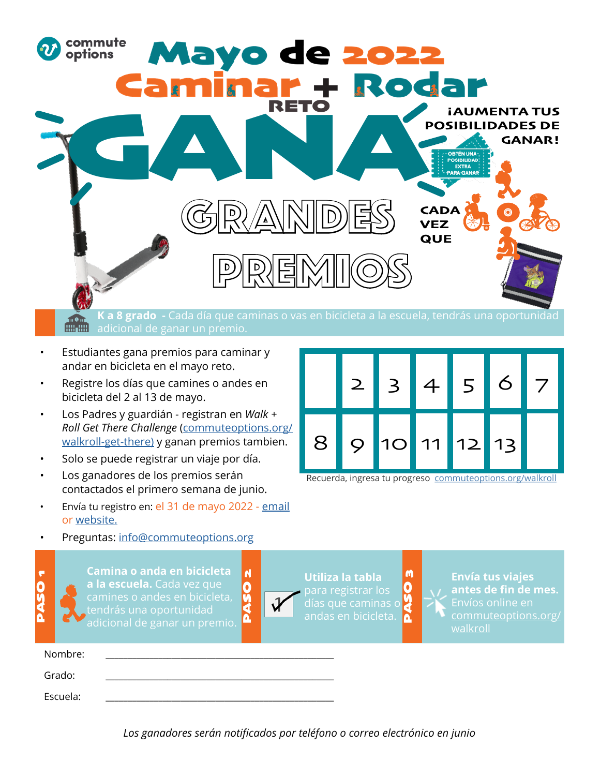

## **K a 8 grado -** Cada día que caminas o vas en bicicleta a la escuela, tendrás una oportunidad adicional de ganar un premio.

- Estudiantes gana premios para caminar y andar en bicicleta en el mayo reto.
- Registre los días que camines o andes en bicicleta del 2 al 13 de mayo.
- Los Padres y guardián registran en *Walk + Roll Get There Challenge* (commuteoptions.org/ walkroll-get-there) y ganan premios tambien.
- Solo se puede registrar un viaje por día.
- Los ganadores de los premios serán contactados el primero semana de junio.
- Envía tu registro en: el 31 de mayo 2022 [email](http://info@commuteoptions.org) or [website.](https://www.commuteoptions.org/walkroll/)
- Preguntas: [info@commuteoptions.org](mailto:info%40commuteoptions.org?subject=)

PASO<sub>1</sub>

**0000** 

 $\blacktriangledown$ 



Recuerda, ingresa tu progreso [commuteoptions.org](http:// www.commuteoptions.org/Walk-N-Roll)/walkroll

**Camina o anda en bicicleta**   $\overline{\mathsf{N}}$ PASO 2 **a la escuela.** Cada vez que Ō camines o andes en bicicleta, ğ<br>4 tendrás una oportunidad Δ

**Utiliza la tabla**  para registrar los<br>días que caminas o <mark>e</mark> andas en bicicleta.

M PASO 3

**Envía tus viajes antes de fin de mes.** Envíos online en [commuteoptions.org/](http:// www.commuteoptions.org/walkroll) [walkroll](http:// www.commuteoptions.org/walkroll)

| Nombre:  |  |  |
|----------|--|--|
| Grado:   |  |  |
| Escuela: |  |  |

*Los ganadores serán notificados por teléfono o correo electrónico en junio*